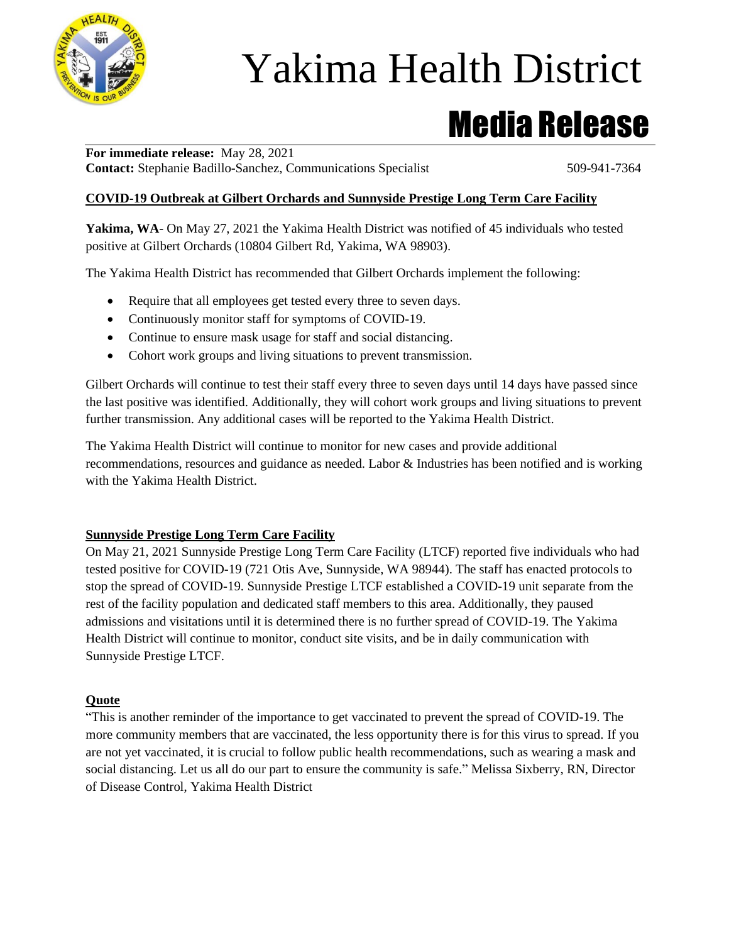

# Yakima Health District

Media Release

**For immediate release:** May 28, 2021 **Contact:** Stephanie Badillo-Sanchez, Communications Specialist 509-941-7364

### **COVID-19 Outbreak at Gilbert Orchards and Sunnyside Prestige Long Term Care Facility**

**Yakima, WA**- On May 27, 2021 the Yakima Health District was notified of 45 individuals who tested positive at Gilbert Orchards (10804 Gilbert Rd, Yakima, WA 98903).

The Yakima Health District has recommended that Gilbert Orchards implement the following:

- Require that all employees get tested every three to seven days.
- Continuously monitor staff for symptoms of COVID-19.
- Continue to ensure mask usage for staff and social distancing.
- Cohort work groups and living situations to prevent transmission.

Gilbert Orchards will continue to test their staff every three to seven days until 14 days have passed since the last positive was identified. Additionally, they will cohort work groups and living situations to prevent further transmission. Any additional cases will be reported to the Yakima Health District.

The Yakima Health District will continue to monitor for new cases and provide additional recommendations, resources and guidance as needed. Labor & Industries has been notified and is working with the Yakima Health District.

#### **Sunnyside Prestige Long Term Care Facility**

On May 21, 2021 Sunnyside Prestige Long Term Care Facility (LTCF) reported five individuals who had tested positive for COVID-19 (721 Otis Ave, Sunnyside, WA 98944). The staff has enacted protocols to stop the spread of COVID-19. Sunnyside Prestige LTCF established a COVID-19 unit separate from the rest of the facility population and dedicated staff members to this area. Additionally, they paused admissions and visitations until it is determined there is no further spread of COVID-19. The Yakima Health District will continue to monitor, conduct site visits, and be in daily communication with Sunnyside Prestige LTCF.

#### **Quote**

"This is another reminder of the importance to get vaccinated to prevent the spread of COVID-19. The more community members that are vaccinated, the less opportunity there is for this virus to spread. If you are not yet vaccinated, it is crucial to follow public health recommendations, such as wearing a mask and social distancing. Let us all do our part to ensure the community is safe." Melissa Sixberry, RN, Director of Disease Control, Yakima Health District